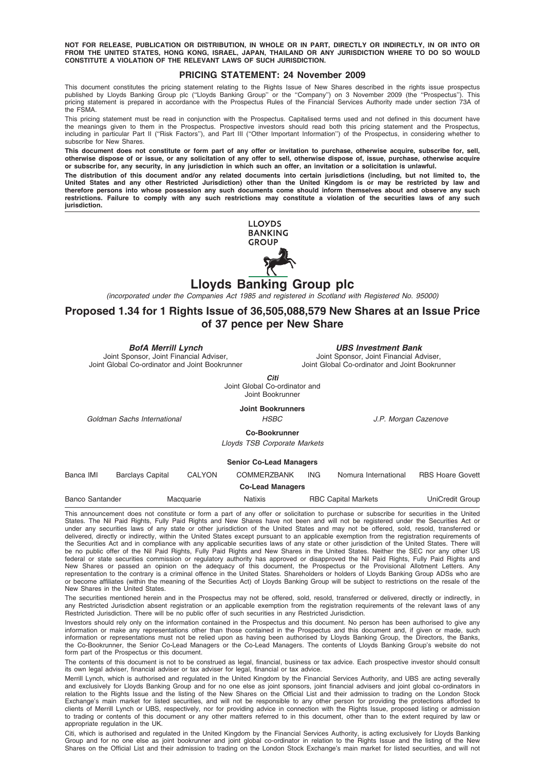NOT FOR RELEASE, PUBLICATION OR DISTRIBUTION, IN WHOLE OR IN PART, DIRECTLY OR INDIRECTLY, IN OR INTO OR FROM THE UNITED STATES, HONG KONG, ISRAEL, JAPAN, THAILAND OR ANY JURISDICTION WHERE TO DO SO WOULD CONSTITUTE A VIOLATION OF THE RELEVANT LAWS OF SUCH JURISDICTION.

### PRICING STATEMENT: 24 November 2009

This document constitutes the pricing statement relating to the Rights Issue of New Shares described in the rights issue prospectus published by Lloyds Banking Group plc (''Lloyds Banking Group'' or the ''Company'') on 3 November 2009 (the ''Prospectus''). This pricing statement is prepared in accordance with the Prospectus Rules of the Financial Services Authority made under section 73A of the FSMA.

This pricing statement must be read in conjunction with the Prospectus. Capitalised terms used and not defined in this document have the meanings given to them in the Prospectus. Prospective investors should read both this pricing statement and the Prospectus, including in particular Part II (''Risk Factors''), and Part III (''Other Important Information'') of the Prospectus, in considering whether to subscribe for New Shares.

This document does not constitute or form part of any offer or invitation to purchase, otherwise acquire, subscribe for, sell, otherwise dispose of or issue, or any solicitation of any offer to sell, otherwise dispose of, issue, purchase, otherwise acquire or subscribe for, any security, in any jurisdiction in which such an offer, an invitation or a solicitation is unlawful.

The distribution of this document and/or any related documents into certain jurisdictions (including, but not limited to, the United States and any other Restricted Jurisdiction) other than the United Kingdom is or may be restricted by law and therefore persons into whose possession any such documents come should inform themselves about and observe any such restrictions. Failure to comply with any such restrictions may constitute a violation of the securities laws of any such jurisdiction.





# Lloyds Banking Group plc

(incorporated under the Companies Act 1985 and registered in Scotland with Registered No. 95000)

### Proposed 1.34 for 1 Rights Issue of 36,505,088,579 New Shares at an Issue Price of 37 pence per New Share

|  |  | BofA Merrill Lvnch |  |
|--|--|--------------------|--|
|  |  |                    |  |

Joint Sponsor, Joint Financial Adviser, Joint Global Co-ordinator and Joint Bookrunner **UBS Investment Bank** 

Joint Sponsor, Joint Financial Adviser, Joint Global Co-ordinator and Joint Bookrunner

Citi

Joint Global Co-ordinator and Joint Bookrunner

Joint Bookrunners

Goldman Sachs International HSBC J.P. Morgan Cazenove

Co-Bookrunner

Lloyds TSB Corporate Markets

Senior Co-Lead Managers

| Banca IMI | <b>Barclays Capital</b> | CALYON | <b>COMMERZBANK</b>      | <b>ING</b> | Nomura International | <b>RBS Hoare Govett</b> |
|-----------|-------------------------|--------|-------------------------|------------|----------------------|-------------------------|
|           |                         |        | <b>Co-Lead Managers</b> |            |                      |                         |
|           |                         |        |                         |            |                      |                         |

| <b>Banco Santander</b> | Macquarie | Natixis | <b>RBC Capital Markets</b> | UniCredit Group |
|------------------------|-----------|---------|----------------------------|-----------------|
|                        |           |         |                            |                 |

This announcement does not constitute or form a part of any offer or solicitation to purchase or subscribe for securities in the United States. The Nil Paid Rights, Fully Paid Rights and New Shares have not been and will not be registered under the Securities Act or under any securities laws of any state or other jurisdiction of the United States and may not be offered, sold, resold, transferred or delivered, directly or indirectly, within the United States except pursuant to an applicable exemption from the registration requirements of the Securities Act and in compliance with any applicable securities laws of any state or other jurisdiction of the United States. There will be no public offer of the Nil Paid Rights, Fully Paid Rights and New Shares in the United States. Neither the SEC nor any other US federal or state securities commission or regulatory authority has approved or disapproved the Nil Paid Rights, Fully Paid Rights and New Shares or passed an opinion on the adequacy of this document, the Prospectus or the Provisional Allotment Letters. Any representation to the contrary is a criminal offence in the United States. Shareholders or holders of Lloyds Banking Group ADSs who are or become affiliates (within the meaning of the Securities Act) of Lloyds Banking Group will be subject to restrictions on the resale of the New Shares in the United States.

The securities mentioned herein and in the Prospectus may not be offered, sold, resold, transferred or delivered, directly or indirectly, in any Restricted Jurisdiction absent registration or an applicable exemption from the registration requirements of the relevant laws of any Restricted Jurisdiction. There will be no public offer of such securities in any Restricted Jurisdiction.

Investors should rely only on the information contained in the Prospectus and this document. No person has been authorised to give any information or make any representations other than those contained in the Prospectus and this document and, if given or made, such information or representations must not be relied upon as having been authorised by Lloyds Banking Group, the Directors, the Banks, the Co-Bookrunner, the Senior Co-Lead Managers or the Co-Lead Managers. The contents of Lloyds Banking Group's website do not form part of the Prospectus or this document.

The contents of this document is not to be construed as legal, financial, business or tax advice. Each prospective investor should consult its own legal adviser, financial adviser or tax adviser for legal, financial or tax advice.

Merrill Lynch, which is authorised and regulated in the United Kingdom by the Financial Services Authority, and UBS are acting severally and exclusively for Lloyds Banking Group and for no one else as joint sponsors, joint financial advisers and joint global co-ordinators in relation to the Rights Issue and the listing of the New Shares on the Official List and their admission to trading on the London Stock Exchange's main market for listed securities, and will not be responsible to any other person for providing the protections afforded to clients of Merrill Lynch or UBS, respectively, nor for providing advice in connection with the Rights Issue, proposed listing or admission to trading or contents of this document or any other matters referred to in this document, other than to the extent required by law or appropriate regulation in the UK.

Citi, which is authorised and regulated in the United Kingdom by the Financial Services Authority, is acting exclusively for Lloyds Banking Group and for no one else as joint bookrunner and joint global co-ordinator in relation to the Rights Issue and the listing of the New Shares on the Official List and their admission to trading on the London Stock Exchange's main market for listed securities, and will not